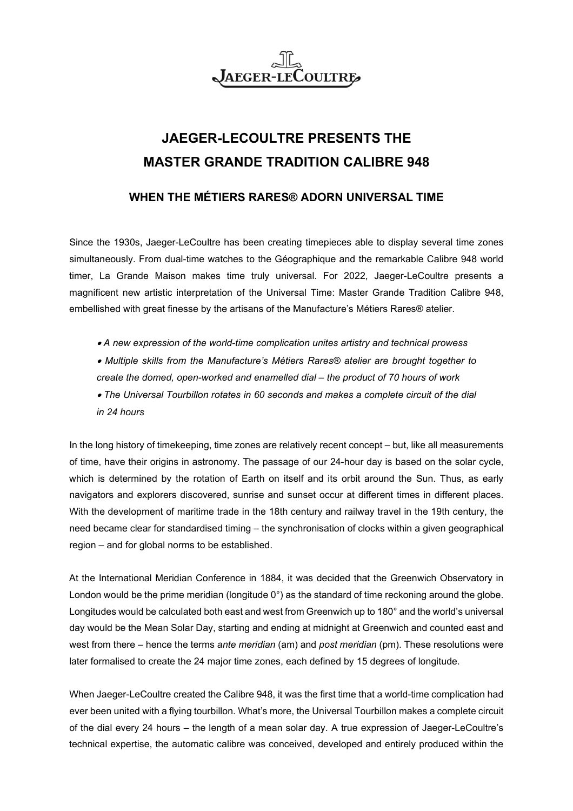

# **JAEGER-LECOULTRE PRESENTS THE MASTER GRANDE TRADITION CALIBRE 948**

# **WHEN THE MÉTIERS RARES® ADORN UNIVERSAL TIME**

Since the 1930s, Jaeger-LeCoultre has been creating timepieces able to display several time zones simultaneously. From dual-time watches to the Géographique and the remarkable Calibre 948 world timer, La Grande Maison makes time truly universal. For 2022, Jaeger-LeCoultre presents a magnificent new artistic interpretation of the Universal Time: Master Grande Tradition Calibre 948, embellished with great finesse by the artisans of the Manufacture's Métiers Rares® atelier.

- *A new expression of the world-time complication unites artistry and technical prowess*
- *Multiple skills from the Manufacture's Métiers Rares® atelier are brought together to create the domed, open-worked and enamelled dial – the product of 70 hours of work*
- *The Universal Tourbillon rotates in 60 seconds and makes a complete circuit of the dial in 24 hours*

In the long history of timekeeping, time zones are relatively recent concept – but, like all measurements of time, have their origins in astronomy. The passage of our 24-hour day is based on the solar cycle, which is determined by the rotation of Earth on itself and its orbit around the Sun. Thus, as early navigators and explorers discovered, sunrise and sunset occur at different times in different places. With the development of maritime trade in the 18th century and railway travel in the 19th century, the need became clear for standardised timing – the synchronisation of clocks within a given geographical region – and for global norms to be established.

At the International Meridian Conference in 1884, it was decided that the Greenwich Observatory in London would be the prime meridian (longitude 0°) as the standard of time reckoning around the globe. Longitudes would be calculated both east and west from Greenwich up to 180° and the world's universal day would be the Mean Solar Day, starting and ending at midnight at Greenwich and counted east and west from there – hence the terms *ante meridian* (am) and *post meridian* (pm). These resolutions were later formalised to create the 24 major time zones, each defined by 15 degrees of longitude.

When Jaeger-LeCoultre created the Calibre 948, it was the first time that a world-time complication had ever been united with a flying tourbillon. What's more, the Universal Tourbillon makes a complete circuit of the dial every 24 hours – the length of a mean solar day. A true expression of Jaeger-LeCoultre's technical expertise, the automatic calibre was conceived, developed and entirely produced within the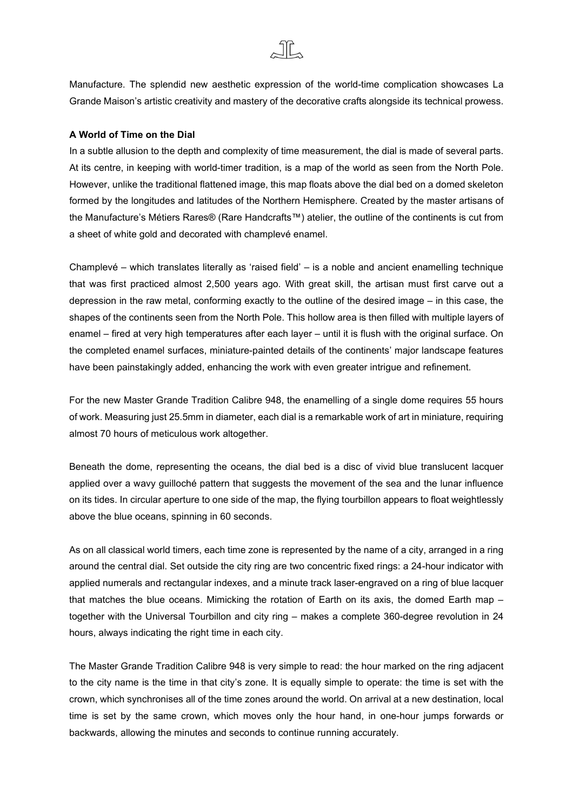Manufacture. The splendid new aesthetic expression of the world-time complication showcases La Grande Maison's artistic creativity and mastery of the decorative crafts alongside its technical prowess.

 $\sqrt{10}$ 

## **A World of Time on the Dial**

In a subtle allusion to the depth and complexity of time measurement, the dial is made of several parts. At its centre, in keeping with world-timer tradition, is a map of the world as seen from the North Pole. However, unlike the traditional flattened image, this map floats above the dial bed on a domed skeleton formed by the longitudes and latitudes of the Northern Hemisphere. Created by the master artisans of the Manufacture's Métiers Rares® (Rare Handcrafts™) atelier, the outline of the continents is cut from a sheet of white gold and decorated with champlevé enamel.

Champlevé – which translates literally as 'raised field' – is a noble and ancient enamelling technique that was first practiced almost 2,500 years ago. With great skill, the artisan must first carve out a depression in the raw metal, conforming exactly to the outline of the desired image – in this case, the shapes of the continents seen from the North Pole. This hollow area is then filled with multiple layers of enamel – fired at very high temperatures after each layer – until it is flush with the original surface. On the completed enamel surfaces, miniature-painted details of the continents' major landscape features have been painstakingly added, enhancing the work with even greater intrigue and refinement.

For the new Master Grande Tradition Calibre 948, the enamelling of a single dome requires 55 hours of work. Measuring just 25.5mm in diameter, each dial is a remarkable work of art in miniature, requiring almost 70 hours of meticulous work altogether.

Beneath the dome, representing the oceans, the dial bed is a disc of vivid blue translucent lacquer applied over a wavy guilloché pattern that suggests the movement of the sea and the lunar influence on its tides. In circular aperture to one side of the map, the flying tourbillon appears to float weightlessly above the blue oceans, spinning in 60 seconds.

As on all classical world timers, each time zone is represented by the name of a city, arranged in a ring around the central dial. Set outside the city ring are two concentric fixed rings: a 24-hour indicator with applied numerals and rectangular indexes, and a minute track laser-engraved on a ring of blue lacquer that matches the blue oceans. Mimicking the rotation of Earth on its axis, the domed Earth map – together with the Universal Tourbillon and city ring – makes a complete 360-degree revolution in 24 hours, always indicating the right time in each city.

The Master Grande Tradition Calibre 948 is very simple to read: the hour marked on the ring adjacent to the city name is the time in that city's zone. It is equally simple to operate: the time is set with the crown, which synchronises all of the time zones around the world. On arrival at a new destination, local time is set by the same crown, which moves only the hour hand, in one-hour jumps forwards or backwards, allowing the minutes and seconds to continue running accurately.